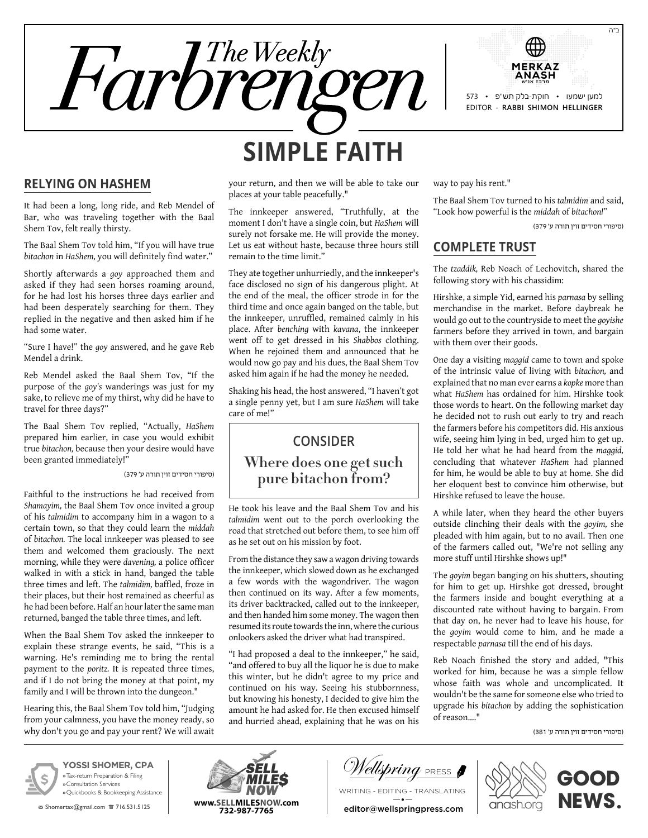



# **Relying on HaShem**

It had been a long, long ride, and Reb Mendel of Bar, who was traveling together with the Baal Shem Tov, felt really thirsty.

The Baal Shem Tov told him, "If you will have true *bitachon* in *HaShem,* you will definitely find water."

Shortly afterwards a *goy* approached them and asked if they had seen horses roaming around, for he had lost his horses three days earlier and had been desperately searching for them. They replied in the negative and then asked him if he had some water.

"Sure I have!" the *goy* answered, and he gave Reb Mendel a drink.

Reb Mendel asked the Baal Shem Tov, "If the purpose of the *goy's* wanderings was just for my sake, to relieve me of my thirst, why did he have to travel for three days?"

The Baal Shem Tov replied, "Actually, *HaShem* prepared him earlier, in case you would exhibit true *bitachon,* because then your desire would have been granted immediately!"

)סיפורי חסידים זוין תורה ע' 379(

Faithful to the instructions he had received from *Shamayim,* the Baal Shem Tov once invited a group of his *talmidim* to accompany him in a wagon to a certain town, so that they could learn the *middah* of *bitachon.* The local innkeeper was pleased to see them and welcomed them graciously. The next morning, while they were *davening,* a police officer walked in with a stick in hand, banged the table three times and left. The *talmidim,* baffled, froze in their places, but their host remained as cheerful as he had been before. Half an hour later the same man returned, banged the table three times, and left.

When the Baal Shem Tov asked the innkeeper to explain these strange events, he said, "This is a warning. He's reminding me to bring the rental payment to the *poritz.* It is repeated three times, and if I do not bring the money at that point, my family and I will be thrown into the dungeon."

Hearing this, the Baal Shem Tov told him, "Judging from your calmness, you have the money ready, so why don't you go and pay your rent? We will await your return, and then we will be able to take our places at your table peacefully."

The innkeeper answered, "Truthfully, at the moment I don't have a single coin, but *HaShem* will surely not forsake me. He will provide the money. Let us eat without haste, because three hours still remain to the time limit."

They ate together unhurriedly, and the innkeeper's face disclosed no sign of his dangerous plight. At the end of the meal, the officer strode in for the third time and once again banged on the table, but the innkeeper, unruffled, remained calmly in his place. After *benching* with *kavana*, the innkeeper went off to get dressed in his *Shabbos* clothing. When he rejoined them and announced that he would now go pay and his dues, the Baal Shem Tov asked him again if he had the money he needed.

Shaking his head, the host answered, "I haven't got a single penny yet, but I am sure *HaShem* will take care of me!"

# **Consider Where does one get such pure bitachon from?**

He took his leave and the Baal Shem Tov and his *talmidim* went out to the porch overlooking the road that stretched out before them, to see him off as he set out on his mission by foot.

From the distance they saw a wagon driving towards the innkeeper, which slowed down as he exchanged a few words with the wagondriver. The wagon then continued on its way. After a few moments, its driver backtracked, called out to the innkeeper, and then handed him some money. The wagon then resumed its route towards the inn, where the curious onlookers asked the driver what had transpired.

"I had proposed a deal to the innkeeper," he said, "and offered to buy all the liquor he is due to make this winter, but he didn't agree to my price and continued on his way. Seeing his stubbornness, but knowing his honesty, I decided to give him the amount he had asked for. He then excused himself and hurried ahead, explaining that he was on his

way to pay his rent."

The Baal Shem Tov turned to his *talmidim* and said, "Look how powerful is the *middah* of *bitachon!"*

)סיפורי חסידים זוין תורה ע' 379(

#### **Complete Trust**

The *tzaddik,* Reb Noach of Lechovitch, shared the following story with his chassidim:

Hirshke, a simple Yid, earned his *parnasa* by selling merchandise in the market. Before daybreak he would go out to the countryside to meet the *goyishe* farmers before they arrived in town, and bargain with them over their goods.

One day a visiting *maggid* came to town and spoke of the intrinsic value of living with *bitachon,* and explained that no man ever earns a *kopke* more than what *HaShem* has ordained for him. Hirshke took those words to heart. On the following market day he decided not to rush out early to try and reach the farmers before his competitors did. His anxious wife, seeing him lying in bed, urged him to get up. He told her what he had heard from the *maggid,* concluding that whatever *HaShem* had planned for him, he would be able to buy at home. She did her eloquent best to convince him otherwise, but Hirshke refused to leave the house.

A while later, when they heard the other buyers outside clinching their deals with the *goyim,* she pleaded with him again, but to no avail. Then one of the farmers called out, "We're not selling any more stuff until Hirshke shows up!"

The *goyim* began banging on his shutters, shouting for him to get up. Hirshke got dressed, brought the farmers inside and bought everything at a discounted rate without having to bargain. From that day on, he never had to leave his house, for the *goyim* would come to him, and he made a respectable *parnasa* till the end of his days.

Reb Noach finished the story and added, "This worked for him, because he was a simple fellow whose faith was whole and uncomplicated. It wouldn't be the same for someone else who tried to upgrade his *bitachon* by adding the sophistication of reason…."

)סיפורי חסידים זוין תורה ע' 381(



**YOSSI SHOMER, CPA »** Tax-return Preparation & Filing **»** Consultation Services **»** Quickbooks & Bookkeeping Assistance

**x** Shomertax@gmail.com 言 716.531.5125



V*ellspring* press **f** 

Writing - Editing - Translating